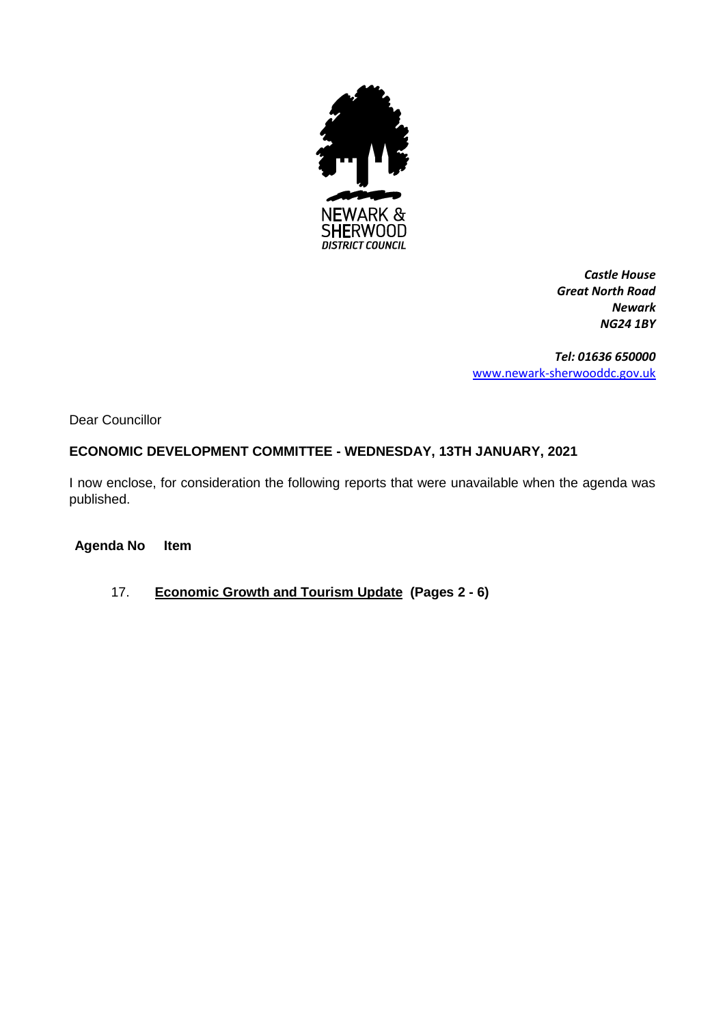

*Castle House Great North Road Newark NG24 1BY*

*Tel: 01636 650000* [www.newark-sherwooddc.gov.uk](http://www.newark-sherwooddc.gov.uk/)

Dear Councillor

# **ECONOMIC DEVELOPMENT COMMITTEE - WEDNESDAY, 13TH JANUARY, 2021**

I now enclose, for consideration the following reports that were unavailable when the agenda was published.

**Agenda No Item**

17. **Economic Growth and Tourism Update (Pages 2 - 6)**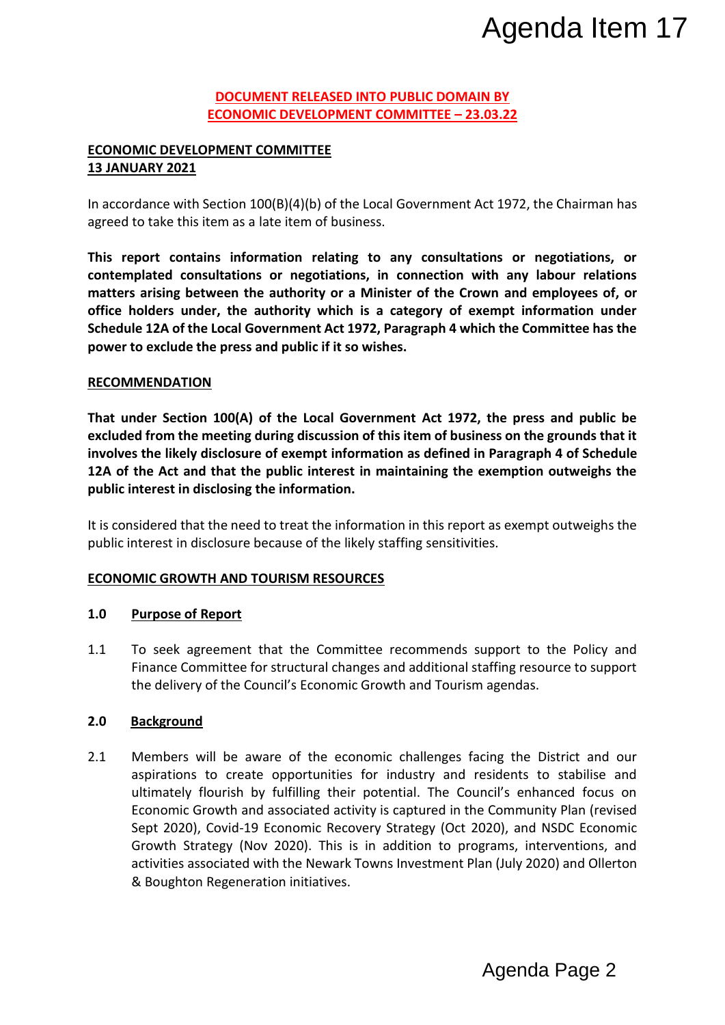## **DOCUMENT RELEASED INTO PUBLIC DOMAIN BY ECONOMIC DEVELOPMENT COMMITTEE – 23.03.22**

# **ECONOMIC DEVELOPMENT COMMITTEE 13 JANUARY 2021**

In accordance with Section 100(B)(4)(b) of the Local Government Act 1972, the Chairman has agreed to take this item as a late item of business.

**This report contains information relating to any consultations or negotiations, or contemplated consultations or negotiations, in connection with any labour relations matters arising between the authority or a Minister of the Crown and employees of, or office holders under, the authority which is a category of exempt information under Schedule 12A of the Local Government Act 1972, Paragraph 4 which the Committee has the power to exclude the press and public if it so wishes.**

## **RECOMMENDATION**

**That under Section 100(A) of the Local Government Act 1972, the press and public be excluded from the meeting during discussion of this item of business on the grounds that it involves the likely disclosure of exempt information as defined in Paragraph 4 of Schedule 12A of the Act and that the public interest in maintaining the exemption outweighs the public interest in disclosing the information.**

It is considered that the need to treat the information in this report as exempt outweighs the public interest in disclosure because of the likely staffing sensitivities.

#### **ECONOMIC GROWTH AND TOURISM RESOURCES**

#### **1.0 Purpose of Report**

1.1 To seek agreement that the Committee recommends support to the Policy and Finance Committee for structural changes and additional staffing resource to support the delivery of the Council's Economic Growth and Tourism agendas.

# **2.0 Background**

2.1 Members will be aware of the economic challenges facing the District and our aspirations to create opportunities for industry and residents to stabilise and ultimately flourish by fulfilling their potential. The Council's enhanced focus on Economic Growth and associated activity is captured in the Community Plan (revised Sept 2020), Covid-19 Economic Recovery Strategy (Oct 2020), and NSDC Economic Growth Strategy (Nov 2020). This is in addition to programs, interventions, and activities associated with the Newark Towns Investment Plan (July 2020) and Ollerton & Boughton Regeneration initiatives. Agenda Item 17<br>
Narry and the Chairman has<br>
nons or negotiations, or<br>
tith any labour relations<br>
wh and employees of, or<br>
empt information under<br>
the committee has the<br>
the press and public be<br>
the press and public be<br>
the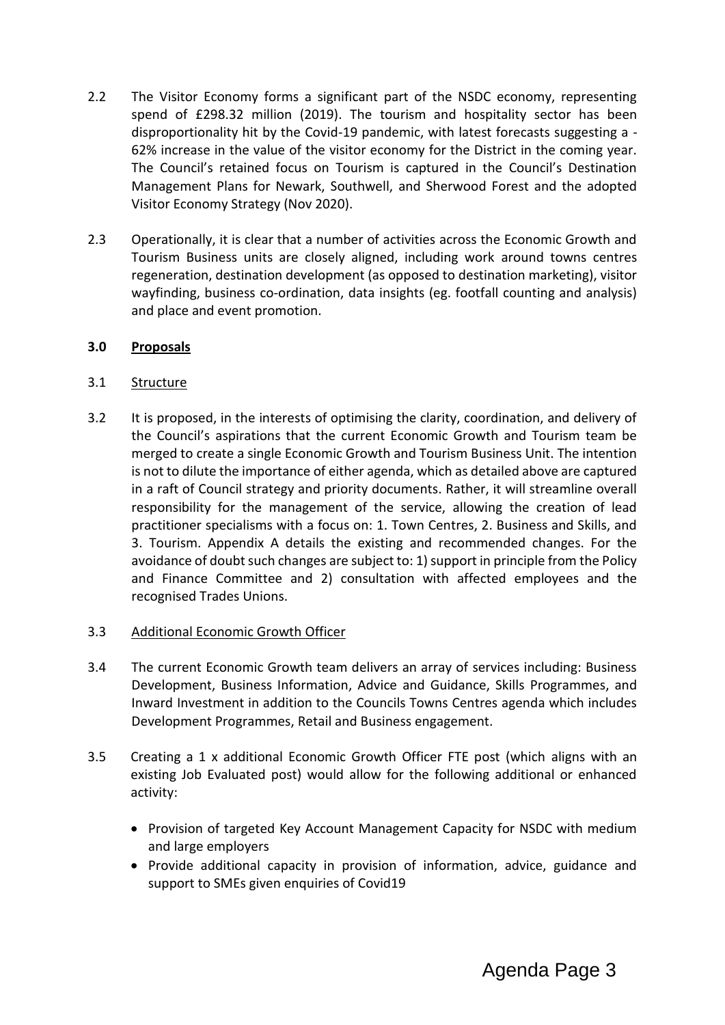- 2.2 The Visitor Economy forms a significant part of the NSDC economy, representing spend of £298.32 million (2019). The tourism and hospitality sector has been disproportionality hit by the Covid-19 pandemic, with latest forecasts suggesting a - 62% increase in the value of the visitor economy for the District in the coming year. The Council's retained focus on Tourism is captured in the Council's Destination Management Plans for Newark, Southwell, and Sherwood Forest and the adopted Visitor Economy Strategy (Nov 2020).
- 2.3 Operationally, it is clear that a number of activities across the Economic Growth and Tourism Business units are closely aligned, including work around towns centres regeneration, destination development (as opposed to destination marketing), visitor wayfinding, business co-ordination, data insights (eg. footfall counting and analysis) and place and event promotion.

## **3.0 Proposals**

## 3.1 Structure

- 3.2 It is proposed, in the interests of optimising the clarity, coordination, and delivery of the Council's aspirations that the current Economic Growth and Tourism team be merged to create a single Economic Growth and Tourism Business Unit. The intention is not to dilute the importance of either agenda, which as detailed above are captured in a raft of Council strategy and priority documents. Rather, it will streamline overall responsibility for the management of the service, allowing the creation of lead practitioner specialisms with a focus on: 1. Town Centres, 2. Business and Skills, and 3. Tourism. Appendix A details the existing and recommended changes. For the avoidance of doubt such changes are subject to: 1) support in principle from the Policy and Finance Committee and 2) consultation with affected employees and the recognised Trades Unions.
- 3.3 Additional Economic Growth Officer
- 3.4 The current Economic Growth team delivers an array of services including: Business Development, Business Information, Advice and Guidance, Skills Programmes, and Inward Investment in addition to the Councils Towns Centres agenda which includes Development Programmes, Retail and Business engagement.
- 3.5 Creating a 1 x additional Economic Growth Officer FTE post (which aligns with an existing Job Evaluated post) would allow for the following additional or enhanced activity:
	- Provision of targeted Key Account Management Capacity for NSDC with medium and large employers
	- Provide additional capacity in provision of information, advice, guidance and support to SMEs given enquiries of Covid19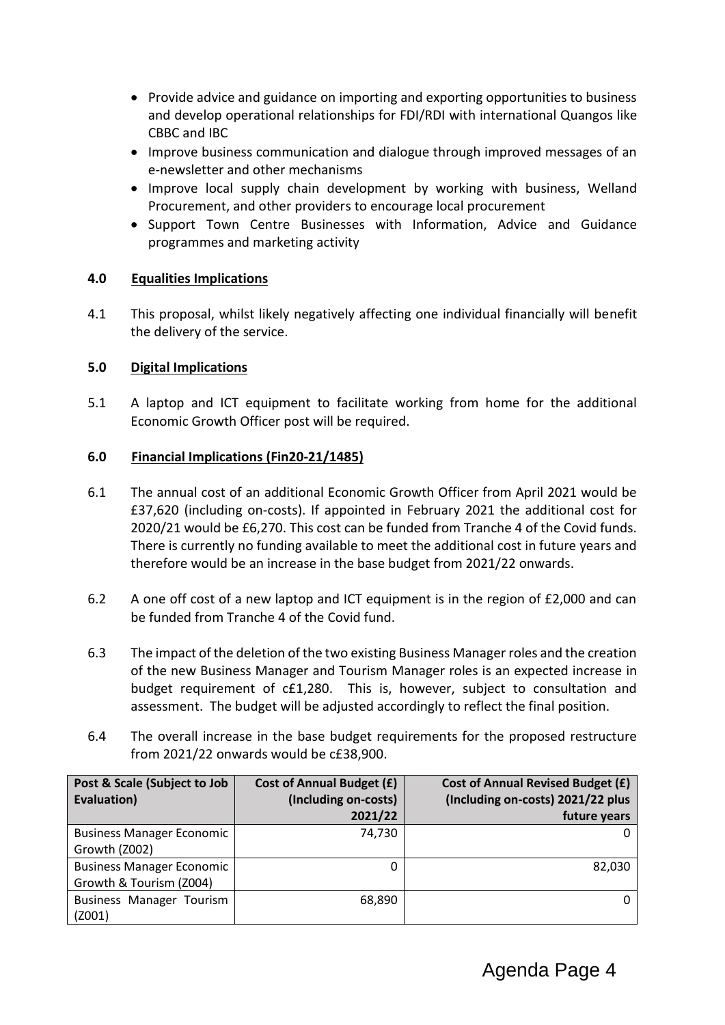- Provide advice and guidance on importing and exporting opportunities to business and develop operational relationships for FDI/RDI with international Quangos like CBBC and IBC
- Improve business communication and dialogue through improved messages of an e-newsletter and other mechanisms
- Improve local supply chain development by working with business, Welland Procurement, and other providers to encourage local procurement
- Support Town Centre Businesses with Information. Advice and Guidance programmes and marketing activity

## **4.0 Equalities Implications**

4.1 This proposal, whilst likely negatively affecting one individual financially will benefit the delivery of the service.

## **5.0 Digital Implications**

5.1 A laptop and ICT equipment to facilitate working from home for the additional Economic Growth Officer post will be required.

## **6.0 Financial Implications (Fin20-21/1485)**

- 6.1 The annual cost of an additional Economic Growth Officer from April 2021 would be £37,620 (including on-costs). If appointed in February 2021 the additional cost for 2020/21 would be £6,270. This cost can be funded from Tranche 4 of the Covid funds. There is currently no funding available to meet the additional cost in future years and therefore would be an increase in the base budget from 2021/22 onwards.
- 6.2 A one off cost of a new laptop and ICT equipment is in the region of £2,000 and can be funded from Tranche 4 of the Covid fund.
- 6.3 The impact of the deletion of the two existing Business Manager roles and the creation of the new Business Manager and Tourism Manager roles is an expected increase in budget requirement of c£1,280. This is, however, subject to consultation and assessment. The budget will be adjusted accordingly to reflect the final position.
- 6.4 The overall increase in the base budget requirements for the proposed restructure from 2021/22 onwards would be c£38,900.

| Post & Scale (Subject to Job<br>Evaluation) | <b>Cost of Annual Budget (£)</b><br>(Including on-costs) | <b>Cost of Annual Revised Budget (£)</b><br>(Including on-costs) 2021/22 plus |
|---------------------------------------------|----------------------------------------------------------|-------------------------------------------------------------------------------|
|                                             | 2021/22                                                  | future years                                                                  |
|                                             |                                                          |                                                                               |
| <b>Business Manager Economic</b>            | 74,730                                                   |                                                                               |
| Growth (Z002)                               |                                                          |                                                                               |
| <b>Business Manager Economic</b>            | 0                                                        | 82,030                                                                        |
| Growth & Tourism (Z004)                     |                                                          |                                                                               |
| Business Manager Tourism                    | 68,890                                                   | 0                                                                             |
| (Z001)                                      |                                                          |                                                                               |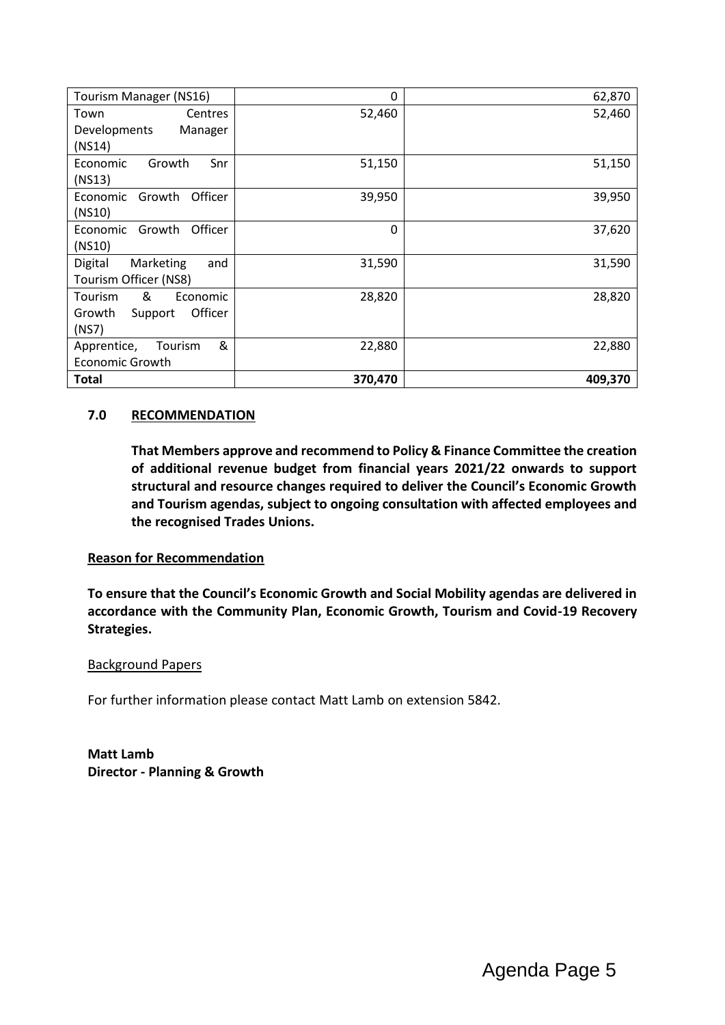| Tourism Manager (NS16)        | 0        | 62,870  |
|-------------------------------|----------|---------|
| Town<br><b>Centres</b>        | 52,460   | 52,460  |
| Developments<br>Manager       |          |         |
| (NS14)                        |          |         |
| Growth<br>Economic<br>Snr     | 51,150   | 51,150  |
| (NS13)                        |          |         |
| Officer<br>Growth<br>Economic | 39,950   | 39,950  |
| (NS10)                        |          |         |
| Officer<br>Economic<br>Growth | $\Omega$ | 37,620  |
| (NS10)                        |          |         |
| Marketing<br>Digital<br>and   | 31,590   | 31,590  |
| Tourism Officer (NS8)         |          |         |
| &<br>Tourism<br>Economic      | 28,820   | 28,820  |
| Officer<br>Growth<br>Support  |          |         |
| (NS7)                         |          |         |
| &<br>Apprentice,<br>Tourism   | 22,880   | 22,880  |
| Economic Growth               |          |         |
| <b>Total</b>                  | 370,470  | 409,370 |

## **7.0 RECOMMENDATION**

**That Members approve and recommend to Policy & Finance Committee the creation of additional revenue budget from financial years 2021/22 onwards to support structural and resource changes required to deliver the Council's Economic Growth and Tourism agendas, subject to ongoing consultation with affected employees and the recognised Trades Unions.**

#### **Reason for Recommendation**

**To ensure that the Council's Economic Growth and Social Mobility agendas are delivered in accordance with the Community Plan, Economic Growth, Tourism and Covid-19 Recovery Strategies.** 

#### Background Papers

For further information please contact Matt Lamb on extension 5842.

**Matt Lamb Director - Planning & Growth**